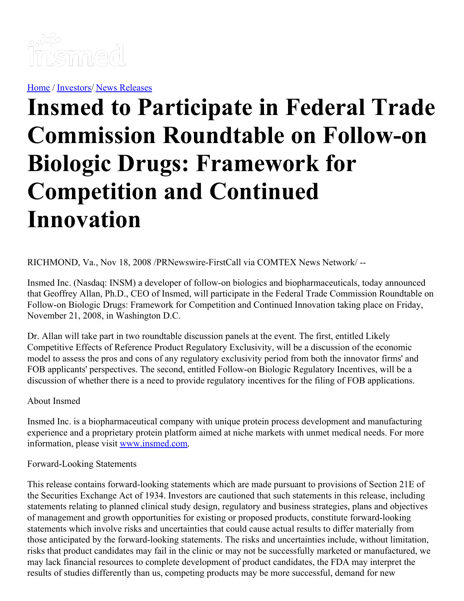

[Home](https://insmed.com/) / [Investors](https://investor.insmed.com/index)/ News [Releases](https://investor.insmed.com/releases)

## **Insmed to Participate in Federal Trade Commission Roundtable on Follow-on Biologic Drugs: Framework for Competition and Continued Innovation**

RICHMOND, Va., Nov 18, 2008 /PRNewswire-FirstCall via COMTEX News Network/ --

Insmed Inc. (Nasdaq: INSM) a developer of follow-on biologics and biopharmaceuticals, today announced that Geoffrey Allan, Ph.D., CEO of Insmed, will participate in the Federal Trade Commission Roundtable on Follow-on Biologic Drugs: Framework for Competition and Continued Innovation taking place on Friday, November 21, 2008, in Washington D.C.

Dr. Allan will take part in two roundtable discussion panels at the event. The first, entitled Likely Competitive Effects of Reference Product Regulatory Exclusivity, will be a discussion of the economic model to assess the pros and cons of any regulatory exclusivity period from both the innovator firms' and FOB applicants' perspectives. The second, entitled Follow-on Biologic Regulatory Incentives, will be a discussion of whether there is a need to provide regulatory incentives for the filing of FOB applications.

## About Insmed

Insmed Inc. is a biopharmaceutical company with unique protein process development and manufacturing experience and a proprietary protein platform aimed at niche markets with unmet medical needs. For more information, please visit [www.insmed.com](http://www.insmed.com/).

## Forward-Looking Statements

This release contains forward-looking statements which are made pursuant to provisions of Section 21E of the Securities Exchange Act of 1934. Investors are cautioned that such statements in this release, including statements relating to planned clinical study design, regulatory and business strategies, plans and objectives of management and growth opportunities for existing or proposed products, constitute forward-looking statements which involve risks and uncertainties that could cause actual results to differ materially from those anticipated by the forward-looking statements. The risks and uncertainties include, without limitation, risks that product candidates may fail in the clinic or may not be successfully marketed or manufactured, we may lack financial resources to complete development of product candidates, the FDA may interpret the results of studies differently than us, competing products may be more successful, demand for new